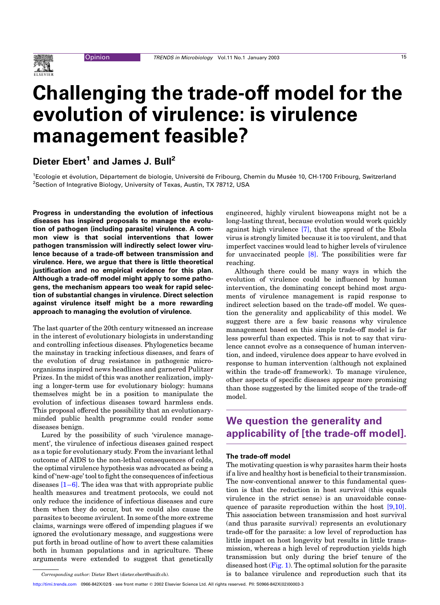# Challenging the trade-off model for the evolution of virulence: is virulence management feasible?

Dieter Ebert<sup>1</sup> and James J. Bull<sup>2</sup>

<sup>1</sup>Ecologie et évolution, Département de biologie, Université de Fribourg, Chemin du Musée 10, CH-1700 Fribourg, Switzerland <sup>2</sup>Section of Integrative Biology, University of Texas, Austin, TX 78712, USA

Progress in understanding the evolution of infectious diseases has inspired proposals to manage the evolution of pathogen (including parasite) virulence. A common view is that social interventions that lower pathogen transmission will indirectly select lower virulence because of a trade-off between transmission and virulence. Here, we argue that there is little theoretical justification and no empirical evidence for this plan. Although a trade-off model might apply to some pathogens, the mechanism appears too weak for rapid selection of substantial changes in virulence. Direct selection against virulence itself might be a more rewarding approach to managing the evolution of virulence.

The last quarter of the 20th century witnessed an increase in the interest of evolutionary biologists in understanding and controlling infectious diseases. Phylogenetics became the mainstay in tracking infectious diseases, and fears of the evolution of drug resistance in pathogenic microorganisms inspired news headlines and garnered Pulitzer Prizes. In the midst of this was another realization, implying a longer-term use for evolutionary biology: humans themselves might be in a position to manipulate the evolution of infectious diseases toward harmless ends. This proposal offered the possibility that an evolutionaryminded public health programme could render some diseases benign.

Lured by the possibility of such 'virulence management', the virulence of infectious diseases gained respect as a topic for evolutionary study. From the invariant lethal outcome of AIDS to the non-lethal consequences of colds, the optimal virulence hypothesis was advocated as being a kind of 'new-age' tool to fight the consequences of infectious diseases  $[1-6]$ . The idea was that with appropriate public health measures and treatment protocols, we could not only reduce the incidence of infectious diseases and cure them when they do occur, but we could also cause the parasites to become avirulent. In some of the more extreme claims, warnings were offered of impending plagues if we ignored the evolutionary message, and suggestions were put forth in broad outline of how to avert these calamities both in human populations and in agriculture. These arguments were extended to suggest that genetically

http://timi.trends.com 0966-842X/02/\$ - see front matter @ 2002 Elsevier Science Ltd. All rights reserved. Pll: S0966-842X(02)00003-3

engineered, highly virulent bioweapons might not be a long-lasting threat, because evolution would work quickly against high virulence [7], that the spread of the Ebola virus is strongly limited because it is too virulent, and that imperfect vaccines would lead to higher levels of virulence for unvaccinated people  $[8]$ . The possibilities were far reaching.

Although there could be many ways in which the evolution of virulence could be influenced by human intervention, the dominating concept behind most arguments of virulence management is rapid response to indirect selection based on the trade-off model. We question the generality and applicability of this model. We suggest there are a few basic reasons why virulence management based on this simple trade-off model is far less powerful than expected. This is not to say that virulence cannot evolve as a consequence of human intervention, and indeed, virulence does appear to have evolved in response to human intervention (although not explained within the trade-off framework). To manage virulence, other aspects of specific diseases appear more promising than those suggested by the limited scope of the trade-off model.

## We question the generality and applicability of [the trade-off model].

### The trade-off model

The motivating question is why parasites harm their hosts if a live and healthy host is beneficial to their transmission. The now-conventional answer to this fundamental question is that the reduction in host survival (this equals virulence in the strict sense) is an unavoidable consequence of parasite reproduction within the host [9,10]. This association between transmission and host survival (and thus parasite survival) represents an evolutionary trade-off for the parasite: a low level of reproduction has little impact on host longevity but results in little transmission, whereas a high level of reproduction yields high transmission but only during the brief tenure of the diseased host (Fig. 1). The optimal solution for the parasite Corresponding author: Dieter Ebert (dieter.ebert@unifr.ch). is to balance virulence and reproduction such that its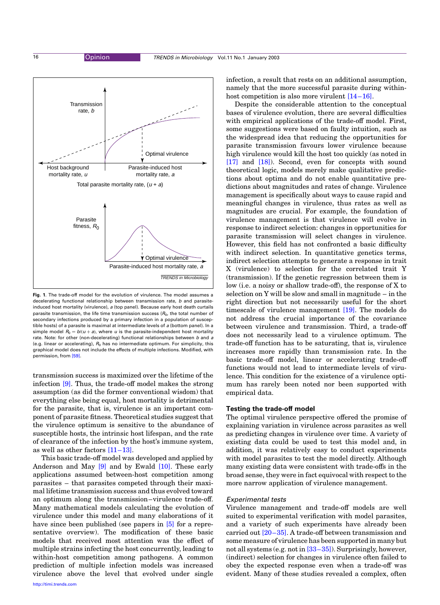

Fig. 1. The trade-off model for the evolution of virulence. The model assumes a decelerating functional relationship between transmission rate,  $b$  and parasiteinduced host mortality (virulence), a (top panel). Because early host death curtails parasite transmission, the life time transmission success  $(R_0, t)$  the total number of secondary infections produced by a primary infection in a population of susceptible hosts) of a parasite is maximal at intermediate levels of a (bottom panel). In a simple model  $R_0 = b/(u + a)$ , where u is the parasite-independent host mortality rate. Note: for other (non-decelerating) functional relationships between b and a (e.g. linear or accelerating),  $R_0$  has no intermediate optimum. For simplicity, this graphical model does not include the effects of multiple infections. Modified, with permission, from [59].

transmission success is maximized over the lifetime of the infection [9]. Thus, the trade-off model makes the strong assumption (as did the former conventional wisdom) that everything else being equal, host mortality is detrimental for the parasite, that is, virulence is an important component of parasite fitness. Theoretical studies suggest that the virulence optimum is sensitive to the abundance of susceptible hosts, the intrinsic host lifespan, and the rate of clearance of the infection by the host's immune system, as well as other factors [11–13].

This basic trade-off model was developed and applied by Anderson and May [9] and by Ewald [10]. These early applications assumed between-host competition among parasites – that parasites competed through their maximal lifetime transmission success and thus evolved toward an optimum along the transmission–virulence trade-off. Many mathematical models calculating the evolution of virulence under this model and many elaborations of it have since been published (see papers in [5] for a representative overview). The modification of these basic models that received most attention was the effect of multiple strains infecting the host concurrently, leading to within-host competition among pathogens. A common prediction of multiple infection models was increased virulence above the level that evolved under single

infection, a result that rests on an additional assumption, namely that the more successful parasite during withinhost competition is also more virulent  $[14-16]$ .

Despite the considerable attention to the conceptual bases of virulence evolution, there are several difficulties with empirical applications of the trade-off model. First, some suggestions were based on faulty intuition, such as the widespread idea that reducing the opportunities for parasite transmission favours lower virulence because high virulence would kill the host too quickly (as noted in [17] and [18]). Second, even for concepts with sound theoretical logic, models merely make qualitative predictions about optima and do not enable quantitative predictions about magnitudes and rates of change. Virulence management is specifically about ways to cause rapid and meaningful changes in virulence, thus rates as well as magnitudes are crucial. For example, the foundation of virulence management is that virulence will evolve in response to indirect selection: changes in opportunities for parasite transmission will select changes in virulence. However, this field has not confronted a basic difficulty with indirect selection. In quantitative genetics terms, indirect selection attempts to generate a response in trait X (virulence) to selection for the correlated trait Y (transmission). If the genetic regression between them is low (i.e. a noisy or shallow trade-off), the response of X to selection on Y will be slow and small in magnitude – in the right direction but not necessarily useful for the short timescale of virulence management [19]. The models do not address the crucial importance of the covariance between virulence and transmission. Third, a trade-off does not necessarily lead to a virulence optimum. The trade-off function has to be saturating, that is, virulence increases more rapidly than transmission rate. In the basic trade-off model, linear or accelerating trade-off functions would not lead to intermediate levels of virulence. This condition for the existence of a virulence optimum has rarely been noted nor been supported with empirical data.

### Testing the trade-off model

The optimal virulence perspective offered the promise of explaining variation in virulence across parasites as well as predicting changes in virulence over time. A variety of existing data could be used to test this model and, in addition, it was relatively easy to conduct experiments with model parasites to test the model directly. Although many existing data were consistent with trade-offs in the broad sense, they were in fact equivocal with respect to the more narrow application of virulence management.

### Experimental tests

Virulence management and trade-off models are well suited to experimental verification with model parasites, and a variety of such experiments have already been carried out [20–35]. A trade-off between transmission and some measure of virulence has been supported in many but not all systems (e.g. not in [33–35]). Surprisingly, however, (indirect) selection for changes in virulence often failed to obey the expected response even when a trade-off was evident. Many of these studies revealed a complex, often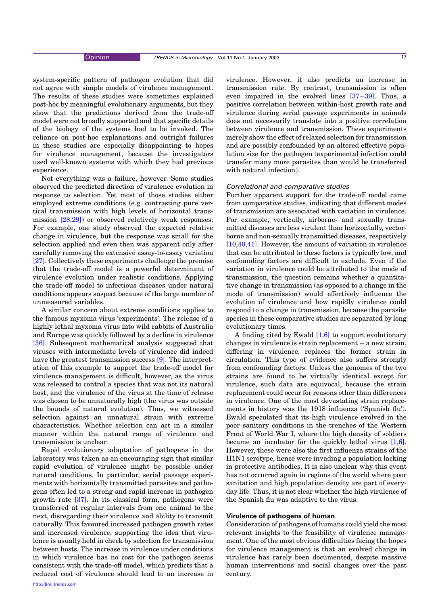system-specific pattern of pathogen evolution that did not agree with simple models of virulence management. The results of these studies were sometimes explained post-hoc by meaningful evolutionary arguments, but they show that the predictions derived from the trade-off model were not broadly supported and that specific details of the biology of the systems had to be invoked. The reliance on post-hoc explanations and outright failures in these studies are especially disappointing to hopes for virulence management, because the investigators used well-known systems with which they had previous experience.

Not everything was a failure, however. Some studies observed the predicted direction of virulence evolution in response to selection. Yet most of those studies either employed extreme conditions (e.g. contrasting pure vertical transmission with high levels of horizontal transmission [28,29]) or observed relatively weak responses. For example, one study observed the expected relative change in virulence, but the response was small for the selection applied and even then was apparent only after carefully removing the extensive assay-to-assay variation [27]. Collectively these experiments challenge the premise that the trade-off model is a powerful determinant of virulence evolution under realistic conditions. Applying the trade-off model to infectious diseases under natural conditions appears suspect because of the large number of unmeasured variables.

A similar concern about extreme conditions applies to the famous myxoma virus 'experiments'. The release of a highly lethal myxoma virus into wild rabbits of Australia and Europe was quickly followed by a decline in virulence [36]. Subsequent mathematical analysis suggested that viruses with intermediate levels of virulence did indeed have the greatest transmission success [9]. The interpretation of this example to support the trade-off model for virulence management is difficult, however, as the virus was released to control a species that was not its natural host, and the virulence of the virus at the time of release was chosen to be unnaturally high (the virus was outside the bounds of natural evolution). Thus, we witnessed selection against an unnatural strain with extreme characteristics. Whether selection can act in a similar manner within the natural range of virulence and transmission is unclear.

Rapid evolutionary adaptation of pathogens in the laboratory was taken as an encouraging sign that similar rapid evolution of virulence might be possible under natural conditions. In particular, serial passage experiments with horizontally transmitted parasites and pathogens often led to a strong and rapid increase in pathogen growth rate [37]. In its classical form, pathogens were transferred at regular intervals from one animal to the next, disregarding their virulence and ability to transmit naturally. This favoured increased pathogen growth rates and increased virulence, supporting the idea that virulence is usually held in check by selection for transmission between hosts. The increase in virulence under conditions in which virulence has no cost for the pathogen seems consistent with the trade-off model, which predicts that a reduced cost of virulence should lead to an increase in virulence. However, it also predicts an increase in transmission rate. By contrast, transmission is often even impaired in the evolved lines [37–39]. Thus, a positive correlation between within-host growth rate and virulence during serial passage experiments in animals does not necessarily translate into a positive correlation between virulence and transmission. These experiments merely show the effect of relaxed selection for transmission and are possibly confounded by an altered effective population size for the pathogen (experimental infection could transfer many more parasites than would be transferred with natural infection).

### Correlational and comparative studies

Further apparent support for the trade-off model came from comparative studies, indicating that different modes of transmission are associated with variation in virulence. For example, vertically, airborne- and sexually transmitted diseases are less virulent than horizontally, vectorborne and non-sexually transmitted diseases, respectively [10,40,41]. However, the amount of variation in virulence that can be attributed to these factors is typically low, and confounding factors are difficult to exclude. Even if the variation in virulence could be attributed to the mode of transmission, the question remains whether a quantitative change in transmission (as opposed to a change in the mode of transmission) would effectively influence the evolution of virulence and how rapidly virulence could respond to a change in transmission, because the parasite species in these comparative studies are separated by long evolutionary times.

A finding cited by Ewald  $[1,6]$  to support evolutionary changes in virulence is strain replacement – a new strain, differing in virulence, replaces the former strain in circulation. This type of evidence also suffers strongly from confounding factors. Unless the genomes of the two strains are found to be virtually identical except for virulence, such data are equivocal, because the strain replacement could occur for reasons other than differences in virulence. One of the most devastating strain replacements in history was the 1918 influenza ('Spanish flu'). Ewald speculated that its high virulence evolved in the poor sanitary conditions in the trenches of the Western Front of World War I, where the high density of soldiers became an incubator for the quickly lethal virus [1,6]. However, these were also the first influenza strains of the H1N1 serotype, hence were invading a population lacking in protective antibodies. It is also unclear why this event has not occurred again in regions of the world where poor sanitation and high population density are part of everyday life. Thus, it is not clear whether the high virulence of the Spanish flu was adaptive to the virus.

### Virulence of pathogens of human

Consideration of pathogens of humans could yield the most relevant insights to the feasibility of virulence management. One of the most obvious difficulties facing the hopes for virulence management is that an evolved change in virulence has rarely been documented, despite massive human interventions and social changes over the past century.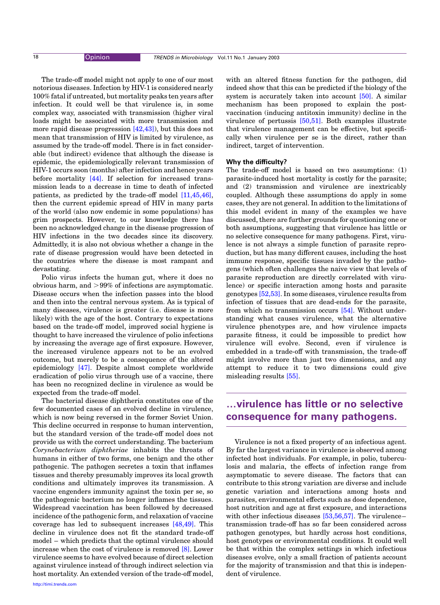The trade-off model might not apply to one of our most notorious diseases. Infection by HIV-1 is considered nearly 100% fatal if untreated, but mortality peaks ten years after infection. It could well be that virulence is, in some complex way, associated with transmission (higher viral loads might be associated with more transmission and more rapid disease progression [42,43]), but this does not mean that transmission of HIV is limited by virulence, as assumed by the trade-off model. There is in fact considerable (but indirect) evidence that although the disease is epidemic, the epidemiologically relevant transmission of HIV-1 occurs soon (months) after infection and hence years before mortality [44]. If selection for increased transmission leads to a decrease in time to death of infected patients, as predicted by the trade-off model [11,45,46], then the current epidemic spread of HIV in many parts of the world (also now endemic in some populations) has grim prospects. However, to our knowledge there has been no acknowledged change in the disease progression of HIV infections in the two decades since its discovery. Admittedly, it is also not obvious whether a change in the rate of disease progression would have been detected in the countries where the disease is most rampant and devastating.

Polio virus infects the human gut, where it does no obvious harm, and  $>99\%$  of infections are asymptomatic. Disease occurs when the infection passes into the blood and then into the central nervous system. As is typical of many diseases, virulence is greater (i.e. disease is more likely) with the age of the host. Contrary to expectations based on the trade-off model, improved social hygiene is thought to have increased the virulence of polio infections by increasing the average age of first exposure. However, the increased virulence appears not to be an evolved outcome, but merely to be a consequence of the altered epidemiology [47]. Despite almost complete worldwide eradication of polio virus through use of a vaccine, there has been no recognized decline in virulence as would be expected from the trade-off model.

The bacterial disease diphtheria constitutes one of the few documented cases of an evolved decline in virulence, which is now being reversed in the former Soviet Union. This decline occurred in response to human intervention, but the standard version of the trade-off model does not provide us with the correct understanding. The bacterium Corynebacterium diphtheriae inhabits the throats of humans in either of two forms, one benign and the other pathogenic. The pathogen secretes a toxin that inflames tissues and thereby presumably improves its local growth conditions and ultimately improves its transmission. A vaccine engenders immunity against the toxin per se, so the pathogenic bacterium no longer inflames the tissues. Widespread vaccination has been followed by decreased incidence of the pathogenic form, and relaxation of vaccine coverage has led to subsequent increases [48,49]. This decline in virulence does not fit the standard trade-off model – which predicts that the optimal virulence should increase when the cost of virulence is removed [8]. Lower virulence seems to have evolved because of direct selection against virulence instead of through indirect selection via host mortality. An extended version of the trade-off model,

with an altered fitness function for the pathogen, did indeed show that this can be predicted if the biology of the system is accurately taken into account [50]. A similar mechanism has been proposed to explain the postvaccination (inducing antitoxin immunity) decline in the virulence of pertussis [50,51]. Both examples illustrate that virulence management can be effective, but specifically when virulence per se is the direct, rather than indirect, target of intervention.

### Why the difficulty?

The trade-off model is based on two assumptions: (1) parasite-induced host mortality is costly for the parasite; and (2) transmission and virulence are inextricably coupled. Although these assumptions do apply in some cases, they are not general. In addition to the limitations of this model evident in many of the examples we have discussed, there are further grounds for questioning one or both assumptions, suggesting that virulence has little or no selective consequence for many pathogens. First, virulence is not always a simple function of parasite reproduction, but has many different causes, including the host immune response, specific tissues invaded by the pathogens (which often challenges the naive view that levels of parasite reproduction are directly correlated with virulence) or specific interaction among hosts and parasite genotypes [52,53]. In some diseases, virulence results from infection of tissues that are dead-ends for the parasite, from which no transmission occurs [54]. Without understanding what causes virulence, what the alternative virulence phenotypes are, and how virulence impacts parasite fitness, it could be impossible to predict how virulence will evolve. Second, even if virulence is embedded in a trade-off with transmission, the trade-off might involve more than just two dimensions, and any attempt to reduce it to two dimensions could give misleading results [55].

## …virulence has little or no selective consequence for many pathogens.

Virulence is not a fixed property of an infectious agent. By far the largest variance in virulence is observed among infected host individuals. For example, in polio, tuberculosis and malaria, the effects of infection range from asymptomatic to severe disease. The factors that can contribute to this strong variation are diverse and include genetic variation and interactions among hosts and parasites, environmental effects such as dose dependence, host nutrition and age at first exposure, and interactions with other infectious diseases [53,56,57]. The virulence– transmission trade-off has so far been considered across pathogen genotypes, but hardly across host conditions, host genotypes or environmental conditions. It could well be that within the complex settings in which infectious diseases evolve, only a small fraction of patients account for the majority of transmission and that this is independent of virulence.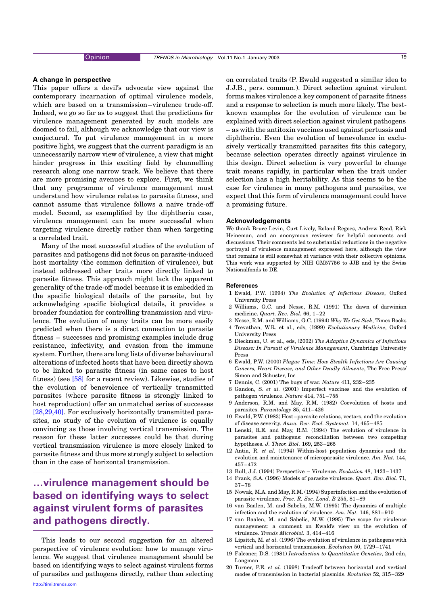### A change in perspective

This paper offers a devil's advocate view against the contemporary incarnation of optimal virulence models, which are based on a transmission–virulence trade-off. Indeed, we go so far as to suggest that the predictions for virulence management generated by such models are doomed to fail, although we acknowledge that our view is conjectural. To put virulence management in a more positive light, we suggest that the current paradigm is an unnecessarily narrow view of virulence, a view that might hinder progress in this exciting field by channelling research along one narrow track. We believe that there are more promising avenues to explore. First, we think that any programme of virulence management must understand how virulence relates to parasite fitness, and cannot assume that virulence follows a naive trade-off model. Second, as exemplified by the diphtheria case, virulence management can be more successful when targeting virulence directly rather than when targeting a correlated trait.

Many of the most successful studies of the evolution of parasites and pathogens did not focus on parasite-induced host mortality (the common definition of virulence), but instead addressed other traits more directly linked to parasite fitness. This approach might lack the apparent generality of the trade-off model because it is embedded in the specific biological details of the parasite, but by acknowledging specific biological details, it provides a broader foundation for controlling transmission and virulence. The evolution of many traits can be more easily predicted when there is a direct connection to parasite fitness – successes and promising examples include drug resistance, infectivity, and evasion from the immune system. Further, there are long lists of diverse behavioural alterations of infected hosts that have been directly shown to be linked to parasite fitness (in same cases to host fitness) (see [58] for a recent review). Likewise, studies of the evolution of benevolence of vertically transmitted parasites (where parasite fitness is strongly linked to host reproduction) offer an unmatched series of successes [28,29,40]. For exclusively horizontally transmitted parasites, no study of the evolution of virulence is equally convincing as those involving vertical transmission. The reason for these latter successes could be that during vertical transmission virulence is more closely linked to parasite fitness and thus more strongly subject to selection than in the case of horizontal transmission.

## …virulence management should be based on identifying ways to select against virulent forms of parasites and pathogens directly.

This leads to our second suggestion for an altered perspective of virulence evolution: how to manage virulence. We suggest that virulence management should be based on identifying ways to select against virulent forms of parasites and pathogens directly, rather than selecting on correlated traits (P. Ewald suggested a similar idea to J.J.B., pers. commun.). Direct selection against virulent forms makes virulence a key component of parasite fitness and a response to selection is much more likely. The bestknown examples for the evolution of virulence can be explained with direct selection against virulent pathogens – as with the antitoxin vaccines used against pertussis and diphtheria. Even the evolution of benevolence in exclusively vertically transmitted parasites fits this category, because selection operates directly against virulence in this design. Direct selection is very powerful to change trait means rapidly, in particular when the trait under selection has a high heritability. As this seems to be the case for virulence in many pathogens and parasites, we expect that this form of virulence management could have a promising future.

### Acknowledgements

We thank Bruce Levin, Curt Lively, Roland Regoes, Andrew Read, Rick Heineman, and an anonymous reviewer for helpful comments and discussions. Their comments led to substantial reductions in the negative portrayal of virulence management expressed here, although the view that remains is still somewhat at variance with their collective opinions. This work was supported by NIH GM57756 to JJB and by the Swiss Nationalfonds to DE.

### **References**

- 1 Ewald, P.W. (1994) The Evolution of Infectious Disease, Oxford University Press
- 2 Williams, G.C. and Nesse, R.M. (1991) The dawn of darwinian medicine. Quart. Rev. Biol. 66, 1–22
- 3 Nesse, R.M. and Williams, G.C. (1994) Why We Get Sick, Times Books
- 4 Trevathan, W.R. et al., eds, (1999) Evolutionary Medicine, Oxford University Press
- 5 Dieckman, U. et al., eds, (2002) The Adaptive Dynamics of Infectious Disease: In Pursuit of Virulence Management, Cambridge University Press
- 6 Ewald, P.W. (2000) Plague Time: How Stealth Infections Are Causing Cancers, Heart Disease, and Other Deadly Ailments, The Free Press/ Simon and Schuster, Inc
- 7 Dennis, C. (2001) The bugs of war. Nature 411, 232–235
- 8 Gandon, S. et al. (2001) Imperfect vaccines and the evolution of pathogen virulence. Nature 414, 751–755
- 9 Anderson, R.M. and May, R.M. (1982) Coevolution of hosts and parasites. Parasitology 85, 411–426
- 10 Ewald, P.W. (1983) Host–parasite relations, vectors, and the evolution of disease severity. Annu. Rev. Ecol. Systemat. 14, 465–485
- 11 Lenski, R.E. and May, R.M. (1994) The evolution of virulence in parasites and pathogens: reconciliation between two competing hypotheses. J. Theor. Biol. 169, 253–265
- 12 Antia, R. et al. (1994) Within-host population dynamics and the evolution and maintenance of microparasite virulence. Am. Nat. 144, 457–472
- 13 Bull, J.J. (1994) Perspective Virulence. Evolution 48, 1423–1437
- 14 Frank, S.A. (1996) Models of parasite virulence. Quart. Rev. Biol. 71, 37–78
- 15 Nowak, M.A. and May, R.M. (1994) Superinfection and the evolution of parasite virulence. Proc. R. Soc. Lond. B 255, 81–89
- 16 van Baalen, M. and Sabelis, M.W. (1995) The dynamics of multiple infection and the evolution of virulence. Am. Nat. 146, 881–910
- 17 van Baalen, M. and Sabelis, M.W. (1995) The scope for virulence management: a comment on Ewald's view on the evolution of virulence. Trends Microbiol. 3, 414–416
- 18 Lipsitch, M. et al. (1996) The evolution of virulence in pathogens with vertical and horizontal transmission. Evolution 50, 1729–1741
- 19 Falconer, D.S. (1981) Introduction to Quantitative Genetics, 2nd edn, Longman
- 20 Turner, P.E. et al. (1998) Tradeoff between horizontal and vertical modes of transmission in bacterial plasmids. Evolution 52, 315–329